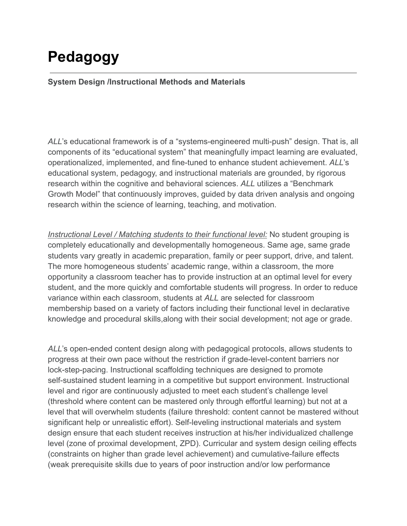# **Pedagogy**

#### **System Design /Instructional Methods and Materials**

*ALL*'s educational framework is of a "systems-engineered multi-push" design. That is, all components of its "educational system" that meaningfully impact learning are evaluated, operationalized, implemented, and fine-tuned to enhance student achievement. *ALL*'s educational system, pedagogy, and instructional materials are grounded, by rigorous research within the cognitive and behavioral sciences. *ALL* utilizes a "Benchmark Growth Model" that continuously improves, guided by data driven analysis and ongoing research within the science of learning, teaching, and motivation.

*Instructional Level / Matching students to their functional level:* No student grouping is completely educationally and developmentally homogeneous. Same age, same grade students vary greatly in academic preparation, family or peer support, drive, and talent. The more homogeneous students' academic range, within a classroom, the more opportunity a classroom teacher has to provide instruction at an optimal level for every student, and the more quickly and comfortable students will progress. In order to reduce variance within each classroom, students at *ALL* are selected for classroom membership based on a variety of factors including their functional level in declarative knowledge and procedural skills,along with their social development; not age or grade.

*ALL*'s open-ended content design along with pedagogical protocols, allows students to progress at their own pace without the restriction if grade-level-content barriers nor lock-step-pacing. Instructional scaffolding techniques are designed to promote self-sustained student learning in a competitive but support environment. Instructional level and rigor are continuously adjusted to meet each student's challenge level (threshold where content can be mastered only through effortful learning) but not at a level that will overwhelm students (failure threshold: content cannot be mastered without significant help or unrealistic effort). Self-leveling instructional materials and system design ensure that each student receives instruction at his/her individualized challenge level (zone of proximal development, ZPD). Curricular and system design ceiling effects (constraints on higher than grade level achievement) and cumulative-failure effects (weak prerequisite skills due to years of poor instruction and/or low performance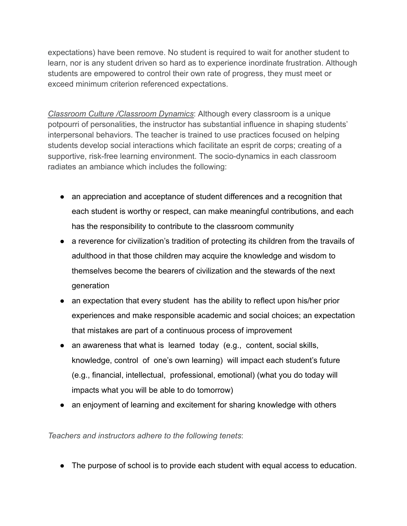expectations) have been remove. No student is required to wait for another student to learn, nor is any student driven so hard as to experience inordinate frustration. Although students are empowered to control their own rate of progress, they must meet or exceed minimum criterion referenced expectations.

*Classroom Culture /Classroom Dynamics*: Although every classroom is a unique potpourri of personalities, the instructor has substantial influence in shaping students' interpersonal behaviors. The teacher is trained to use practices focused on helping students develop social interactions which facilitate an esprit de corps; creating of a supportive, risk-free learning environment. The socio-dynamics in each classroom radiates an ambiance which includes the following:

- an appreciation and acceptance of student differences and a recognition that each student is worthy or respect, can make meaningful contributions, and each has the responsibility to contribute to the classroom community
- a reverence for civilization's tradition of protecting its children from the travails of adulthood in that those children may acquire the knowledge and wisdom to themselves become the bearers of civilization and the stewards of the next generation
- an expectation that every student has the ability to reflect upon his/her prior experiences and make responsible academic and social choices; an expectation that mistakes are part of a continuous process of improvement
- an awareness that what is learned today (e.g., content, social skills, knowledge, control of one's own learning) will impact each student's future (e.g., financial, intellectual, professional, emotional) (what you do today will impacts what you will be able to do tomorrow)
- an enjoyment of learning and excitement for sharing knowledge with others

*Teachers and instructors adhere to the following tenets*:

● The purpose of school is to provide each student with equal access to education.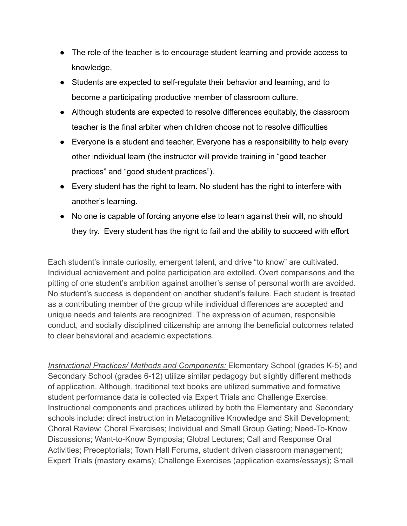- The role of the teacher is to encourage student learning and provide access to knowledge.
- Students are expected to self-regulate their behavior and learning, and to become a participating productive member of classroom culture.
- Although students are expected to resolve differences equitably, the classroom teacher is the final arbiter when children choose not to resolve difficulties
- Everyone is a student and teacher. Everyone has a responsibility to help every other individual learn (the instructor will provide training in "good teacher practices" and "good student practices").
- Every student has the right to learn. No student has the right to interfere with another's learning.
- No one is capable of forcing anyone else to learn against their will, no should they try. Every student has the right to fail and the ability to succeed with effort

Each student's innate curiosity, emergent talent, and drive "to know" are cultivated. Individual achievement and polite participation are extolled. Overt comparisons and the pitting of one student's ambition against another's sense of personal worth are avoided. No student's success is dependent on another student's failure. Each student is treated as a contributing member of the group while individual differences are accepted and unique needs and talents are recognized. The expression of acumen, responsible conduct, and socially disciplined citizenship are among the beneficial outcomes related to clear behavioral and academic expectations.

*Instructional Practices/ Methods and Components:* Elementary School (grades K-5) and Secondary School (grades 6-12) utilize similar pedagogy but slightly different methods of application. Although, traditional text books are utilized summative and formative student performance data is collected via Expert Trials and Challenge Exercise. Instructional components and practices utilized by both the Elementary and Secondary schools include: direct instruction in Metacognitive Knowledge and Skill Development; Choral Review; Choral Exercises; Individual and Small Group Gating; Need-To-Know Discussions; Want-to-Know Symposia; Global Lectures; Call and Response Oral Activities; Preceptorials; Town Hall Forums, student driven classroom management; Expert Trials (mastery exams); Challenge Exercises (application exams/essays); Small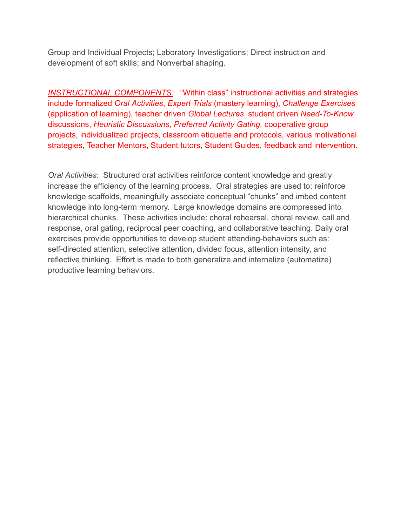Group and Individual Projects; Laboratory Investigations; Direct instruction and development of soft skills; and Nonverbal shaping.

*INSTRUCTIONAL COMPONENTS:* "Within class" instructional activities and strategies include formalized *Oral Activities*, *Expert Trials* (mastery learning), *Challenge Exercises* (application of learning), teacher driven *Global Lectures*, student driven *Need-To-Know* discussions, *Heuristic Discussions*, *Preferred Activity Gating,* cooperative group projects, individualized projects, classroom etiquette and protocols, various motivational strategies, Teacher Mentors, Student tutors, Student Guides, feedback and intervention.

*Oral Activities*: Structured oral activities reinforce content knowledge and greatly increase the efficiency of the learning process. Oral strategies are used to: reinforce knowledge scaffolds, meaningfully associate conceptual "chunks" and imbed content knowledge into long-term memory. Large knowledge domains are compressed into hierarchical chunks. These activities include: choral rehearsal, choral review, call and response, oral gating, reciprocal peer coaching, and collaborative teaching. Daily oral exercises provide opportunities to develop student attending-behaviors such as: self-directed attention, selective attention, divided focus, attention intensity, and reflective thinking. Effort is made to both generalize and internalize (automatize) productive learning behaviors.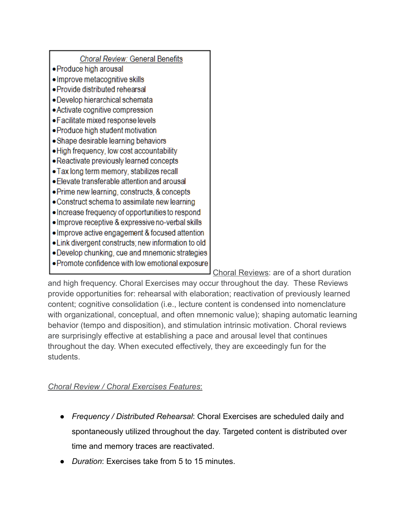| Choral Review: General Benefits                   |
|---------------------------------------------------|
| • Produce high arousal                            |
| • Improve metacognitive skills                    |
| · Provide distributed rehearsal                   |
| • Develop hierarchical schemata                   |
| • Activate cognitive compression                  |
| · Facilitate mixed response levels                |
| • Produce high student motivation                 |
| • Shape desirable learning behaviors              |
| • High frequency, low cost accountability         |
| • Reactivate previously learned concepts          |
| • Tax long term memory, stabilizes recall         |
| • Elevate transferable attention and arousal      |
| • Prime new learning, constructs, & concepts      |
| Construct schema to assimilate new learning       |
| Increase frequency of opportunities to respond    |
| . Improve receptive & expressive no-verbal skills |
| • Improve active engagement & focused attention   |
| Link divergent constructs; new information to old |
| • Develop chunking, cue and mnemonic strategies   |
| . Promote confidence with low emotional exposure  |
|                                                   |

Choral Reviews: are of a short duration

and high frequency. Choral Exercises may occur throughout the day. These Reviews provide opportunities for: rehearsal with elaboration; reactivation of previously learned content; cognitive consolidation (i.e., lecture content is condensed into nomenclature with organizational, conceptual, and often mnemonic value); shaping automatic learning behavior (tempo and disposition), and stimulation intrinsic motivation. Choral reviews are surprisingly effective at establishing a pace and arousal level that continues throughout the day. When executed effectively, they are exceedingly fun for the students.

## *Choral Review / Choral Exercises Features*:

- *Frequency / Distributed Rehearsal*: Choral Exercises are scheduled daily and spontaneously utilized throughout the day. Targeted content is distributed over time and memory traces are reactivated.
- *Duration*: Exercises take from 5 to 15 minutes.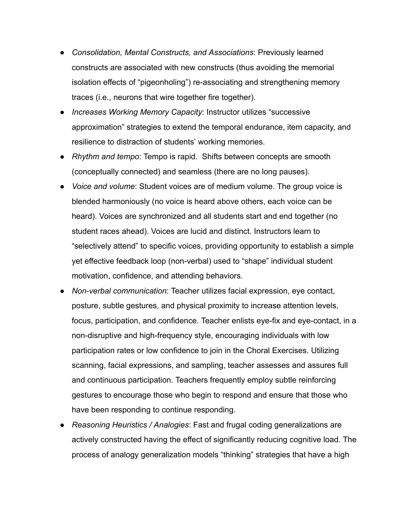- *Consolidation, Mental Constructs, and Associations*: Previously learned constructs are associated with new constructs (thus avoiding the memorial isolation effects of "pigeonholing") re-associating and strengthening memory traces (i.e., neurons that wire together fire together).
- *Increases Working Memory Capacity*: Instructor utilizes "successive approximation" strategies to extend the temporal endurance, item capacity, and resilience to distraction of students' working memories.
- *Rhythm and tempo*: Tempo is rapid. Shifts between concepts are smooth (conceptually connected) and seamless (there are no long pauses).
- *Voice and volume*: Student voices are of medium volume. The group voice is blended harmoniously (no voice is heard above others, each voice can be heard). Voices are synchronized and all students start and end together (no student races ahead). Voices are lucid and distinct. Instructors learn to "selectively attend" to specific voices, providing opportunity to establish a simple yet effective feedback loop (non-verbal) used to "shape" individual student motivation, confidence, and attending behaviors.
- *Non-verbal communication*: Teacher utilizes facial expression, eye contact, posture, subtle gestures, and physical proximity to increase attention levels, focus, participation, and confidence. Teacher enlists eye-fix and eye-contact, in a non-disruptive and high-frequency style, encouraging individuals with low participation rates or low confidence to join in the Choral Exercises. Utilizing scanning, facial expressions, and sampling, teacher assesses and assures full and continuous participation. Teachers frequently employ subtle reinforcing gestures to encourage those who begin to respond and ensure that those who have been responding to continue responding.
- *Reasoning Heuristics / Analogies*: Fast and frugal coding generalizations are actively constructed having the effect of significantly reducing cognitive load. The process of analogy generalization models "thinking" strategies that have a high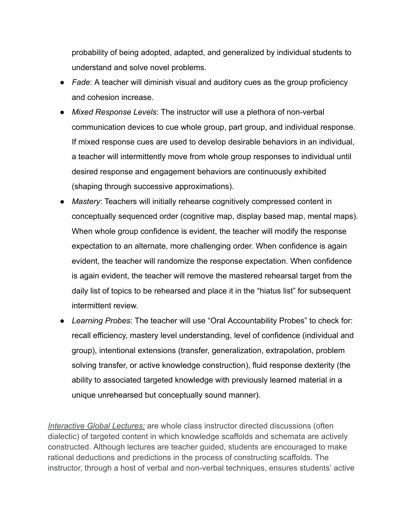probability of being adopted, adapted, and generalized by individual students to understand and solve novel problems.

- *Fade*: A teacher will diminish visual and auditory cues as the group proficiency and cohesion increase.
- *Mixed Response Levels*: The instructor will use a plethora of non-verbal communication devices to cue whole group, part group, and individual response. If mixed response cues are used to develop desirable behaviors in an individual, a teacher will intermittently move from whole group responses to individual until desired response and engagement behaviors are continuously exhibited (shaping through successive approximations).
- *Mastery*: Teachers will initially rehearse cognitively compressed content in conceptually sequenced order (cognitive map, display based map, mental maps). When whole group confidence is evident, the teacher will modify the response expectation to an alternate, more challenging order. When confidence is again evident, the teacher will randomize the response expectation. When confidence is again evident, the teacher will remove the mastered rehearsal target from the daily list of topics to be rehearsed and place it in the "hiatus list" for subsequent intermittent review.
- *Learning Probes*: The teacher will use "Oral Accountability Probes" to check for: recall efficiency, mastery level understanding, level of confidence (individual and group), intentional extensions (transfer, generalization, extrapolation, problem solving transfer, or active knowledge construction), fluid response dexterity (the ability to associated targeted knowledge with previously learned material in a unique unrehearsed but conceptually sound manner).

*Interactive Global Lectures:* are whole class instructor directed discussions (often dialectic) of targeted content in which knowledge scaffolds and schemata are actively constructed. Although lectures are teacher guided, students are encouraged to make rational deductions and predictions in the process of constructing scaffolds. The instructor, through a host of verbal and non-verbal techniques, ensures students' active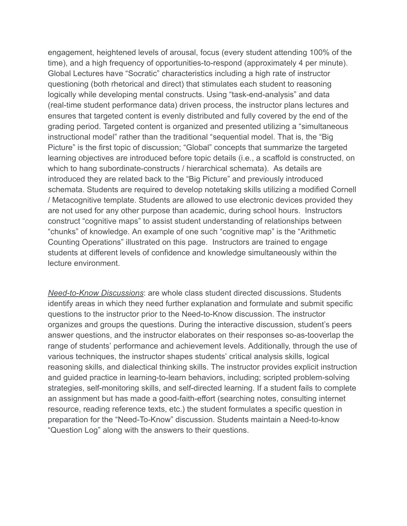engagement, heightened levels of arousal, focus (every student attending 100% of the time), and a high frequency of opportunities-to-respond (approximately 4 per minute). Global Lectures have "Socratic" characteristics including a high rate of instructor questioning (both rhetorical and direct) that stimulates each student to reasoning logically while developing mental constructs. Using "task-end-analysis" and data (real-time student performance data) driven process, the instructor plans lectures and ensures that targeted content is evenly distributed and fully covered by the end of the grading period. Targeted content is organized and presented utilizing a "simultaneous instructional model" rather than the traditional "sequential model. That is, the "Big Picture" is the first topic of discussion; "Global" concepts that summarize the targeted learning objectives are introduced before topic details (i.e., a scaffold is constructed, on which to hang subordinate-constructs / hierarchical schemata). As details are introduced they are related back to the "Big Picture" and previously introduced schemata. Students are required to develop notetaking skills utilizing a modified Cornell / Metacognitive template. Students are allowed to use electronic devices provided they are not used for any other purpose than academic, during school hours. Instructors construct "cognitive maps" to assist student understanding of relationships between "chunks" of knowledge. An example of one such "cognitive map" is the "Arithmetic Counting Operations" illustrated on this page. Instructors are trained to engage students at different levels of confidence and knowledge simultaneously within the lecture environment.

*Need-to-Know Discussions*: are whole class student directed discussions. Students identify areas in which they need further explanation and formulate and submit specific questions to the instructor prior to the Need-to-Know discussion. The instructor organizes and groups the questions. During the interactive discussion, student's peers answer questions, and the instructor elaborates on their responses so-as-tooverlap the range of students' performance and achievement levels. Additionally, through the use of various techniques, the instructor shapes students' critical analysis skills, logical reasoning skills, and dialectical thinking skills. The instructor provides explicit instruction and guided practice in learning-to-learn behaviors, including; scripted problem-solving strategies, self-monitoring skills, and self-directed learning. If a student fails to complete an assignment but has made a good-faith-effort (searching notes, consulting internet resource, reading reference texts, etc.) the student formulates a specific question in preparation for the "Need-To-Know" discussion. Students maintain a Need-to-know "Question Log" along with the answers to their questions.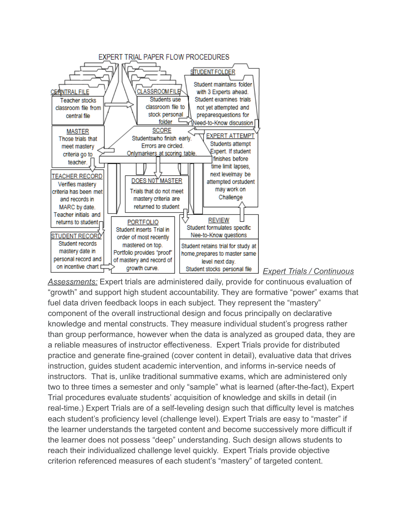

#### *Expert Trials / Continuous*

*Assessments:* Expert trials are administered daily, provide for continuous evaluation of "growth" and support high student accountability. They are formative "power" exams that fuel data driven feedback loops in each subject. They represent the "mastery" component of the overall instructional design and focus principally on declarative knowledge and mental constructs. They measure individual student's progress rather than group performance, however when the data is analyzed as grouped data, they are a reliable measures of instructor effectiveness. Expert Trials provide for distributed practice and generate fine-grained (cover content in detail), evaluative data that drives instruction, guides student academic intervention, and informs in-service needs of instructors. That is, unlike traditional summative exams, which are administered only two to three times a semester and only "sample" what is learned (after-the-fact), Expert Trial procedures evaluate students' acquisition of knowledge and skills in detail (in real-time.) Expert Trials are of a self-leveling design such that difficulty level is matches each student's proficiency level (challenge level). Expert Trials are easy to "master" if the learner understands the targeted content and become successively more difficult if the learner does not possess "deep" understanding. Such design allows students to reach their individualized challenge level quickly. Expert Trials provide objective criterion referenced measures of each student's "mastery" of targeted content.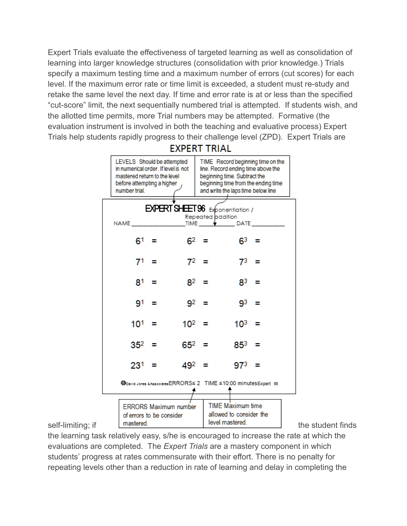Expert Trials evaluate the effectiveness of targeted learning as well as consolidation of learning into larger knowledge structures (consolidation with prior knowledge.) Trials specify a maximum testing time and a maximum number of errors (cut scores) for each level. If the maximum error rate or time limit is exceeded, a student must re-study and retake the same level the next day. If time and error rate is at or less than the specified "cut-score" limit, the next sequentially numbered trial is attempted. If students wish, and the allotted time permits, more Trial numbers may be attempted. Formative (the evaluation instrument is involved in both the teaching and evaluative process) Expert Trials help students rapidly progress to their challenge level (ZPD). Expert Trials are

#### **EXPERT TRIAL** TIME Record beginning time on the LEVELS Should be attempted in numerical order. If level is not line. Record ending time above the mastered return to the level beginning time. Subtract the before attempting a higher beginning time from the ending time number trial. and write the laps time below line EXPERT SHEET 96 Exponentiation / Repeated addition **TIME** NAME  $\_$  DATE  $6<sup>2</sup>$  $6<sup>1</sup>$  = Ξ  $6^3 =$ 71.  $\equiv$ 72  $\equiv$ 73 81 =  $8^2 =$ 83 91  $\equiv$ 92 q3 103  $10^{1}$  =  $10^2 =$ 352 652  $\equiv$ Е 853.  $23^{1}$  =  $49^2 =$ 973 = Goevid Jones & Associates ERRORS≤ 2 TIME ≤10:00 minutes Expert 96 TIME Maximum time **ERRORS Maximum number** allowed to consider the of errors to be consider self-limiting; if mastered. Notice the student finds

the learning task relatively easy, s/he is encouraged to increase the rate at which the evaluations are completed. The *Expert Trials* are a mastery component in which students' progress at rates commensurate with their effort. There is no penalty for repeating levels other than a reduction in rate of learning and delay in completing the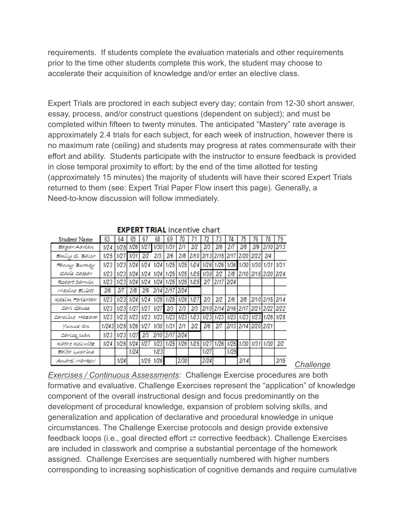requirements. If students complete the evaluation materials and other requirements prior to the time other students complete this work, the student may choose to accelerate their acquisition of knowledge and/or enter an elective class.

Expert Trials are proctored in each subject every day; contain from 12-30 short answer, essay, process, and/or construct questions (dependent on subject); and must be completed within fifteen to twenty minutes. The anticipated "Mastery" rate average is approximately 2.4 trials for each subject, for each week of instruction, however there is no maximum rate (ceiling) and students may progress at rates commensurate with their effort and ability. Students participate with the instructor to ensure feedback is provided in close temporal proximity to effort; by the end of the time allotted for testing (approximately 15 minutes) the majority of students will have their scored Expert Trials returned to them (see: Expert Trial Paper Flow insert this page). Generally, a Need-to-know discussion will follow immediately.

| .<br><b>UNUL</b> |       |      |      |      |      |                                    |           |      |      |           |      |                               |      |                |      |
|------------------|-------|------|------|------|------|------------------------------------|-----------|------|------|-----------|------|-------------------------------|------|----------------|------|
| Student Name     | 63    | 64   | 65   | 67   | 68   | 69                                 |           |      |      |           | 74   | 75                            | 76   | 78             | 79   |
| EdaarAdrian      | 1/24  | 1/25 | 1/26 | 1/27 | 1/30 | 1/31                               | 2/1       | 2/2  | 2/3  | 2/6       | 2/7  | 2/8                           | 2/9  | 2/10           | 2/13 |
| Emily G. Balch   | 1/25  | 1/27 | 1/31 | 2/2  | 2/3  | 2/6                                | 2/8       | 270  | 2/13 | 2/15      | 2/17 | 2/20                          | 2/22 | 2/4            |      |
| ғаппу Витеу      | 1/23  | 1/23 | 1/24 | 1/24 | 1/24 | 1/25                               | 1/25 1/24 |      | 1/26 | 1/26      |      | 1/36 1/30                     | 1/30 | 1/31           | 1/31 |
| Gaois Caesar     | 1/23  | 1/23 |      |      |      | 1/24 1/24 1/24 1/25 1/25 1/25 1/30 |           |      |      | 2/2       |      | 2/8 2/10 2/15 2/20            |      |                | 2/24 |
| Robert Darwin    | 1/23  | 1/23 | 1/24 | 1/24 |      | 1/24 1/25 1/25 1/25                |           |      | 277  | 2/17 2/24 |      |                               |      |                |      |
| Maxine Elliott   | 2/6   | 2/7  | 2/8  | 2/9  | 2/14 | 2/17                               | 2/24      |      |      |           |      |                               |      |                |      |
| Kasim Ferishtah  | 1/23  | 1/23 | 1/24 | 1/24 | 1/25 | 1/25                               | 1/26      | 1/27 | 2/3  | 2/2       | 2/6  | 2/8                           |      | 2/10 2/15 2/14 |      |
| carl causs       | 1/23  | 1/23 | 1/27 | 1127 | 1/27 | 2/3                                | 2/3       | 2/3  |      |           |      | 2/10 2/14 2/16 2/17 2/21 2/22 |      |                | 2/22 |
| Caroline Hazard  | 1/23  | 1/23 | 1/23 | 1/23 | 1/23 | 1/23                               | 1/23      | 1/23 |      | 1/23 1/23 | 1/23 | 1/23                          |      | 1/23 1/26 1/28 |      |
| Yunus ibn        | 1/243 | 1/25 | 1/26 | 1/27 | 1/30 | 1/31                               | 2/1       | 2/2  | 2/6  | 2/7       |      | 2/13 2/14 2/20 2/21           |      |                |      |
| carlos juan      | 1/23  | 1/23 | 1/27 | 2/3  | 2/10 | 2/17 2/24                          |           |      |      |           |      |                               |      |                |      |
| Kathe Kollwitz   | 1/24  | 1/26 | 1/24 |      | 1/23 | 1/25                               | 1/26      | 1/25 | 1/27 | 1/26      | 1/25 | 1/30                          | 1/31 | 1/30           | 2/2  |
| Edith Luchins    |       |      | 1/24 |      | 1/23 |                                    |           |      | 1/27 |           | 1/25 |                               |      |                |      |
| Andrei Markov    |       | 1/24 |      | 1/25 | 1/26 |                                    | 2/30      |      | 2/24 |           |      | 2/14                          |      |                | 2/15 |

**EVDEDT TDIAL** incontive chart

*Challenge*

*Exercises / Continuous Assessments:* Challenge Exercise procedures are both formative and evaluative. Challenge Exercises represent the "application" of knowledge component of the overall instructional design and focus predominantly on the development of procedural knowledge, expansion of problem solving skills, and generalization and application of declarative and procedural knowledge in unique circumstances. The Challenge Exercise protocols and design provide extensive feedback loops (i.e., goal directed effort  $\rightleftarrows$  corrective feedback). Challenge Exercises are included in classwork and comprise a substantial percentage of the homework assigned. Challenge Exercises are sequentially numbered with higher numbers corresponding to increasing sophistication of cognitive demands and require cumulative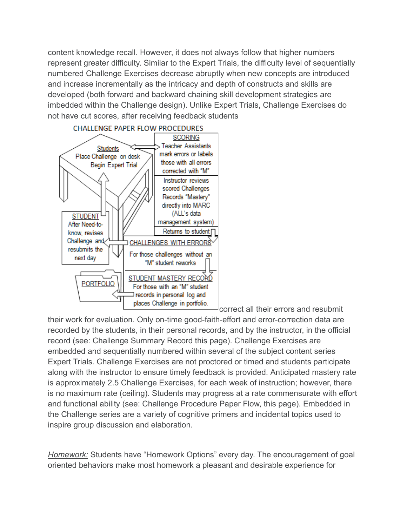content knowledge recall. However, it does not always follow that higher numbers represent greater difficulty. Similar to the Expert Trials, the difficulty level of sequentially numbered Challenge Exercises decrease abruptly when new concepts are introduced and increase incrementally as the intricacy and depth of constructs and skills are developed (both forward and backward chaining skill development strategies are imbedded within the Challenge design). Unlike Expert Trials, Challenge Exercises do not have cut scores, after receiving feedback students



correct all their errors and resubmit

their work for evaluation. Only on-time good-faith-effort and error-correction data are recorded by the students, in their personal records, and by the instructor, in the official record (see: Challenge Summary Record this page). Challenge Exercises are embedded and sequentially numbered within several of the subject content series Expert Trials. Challenge Exercises are not proctored or timed and students participate along with the instructor to ensure timely feedback is provided. Anticipated mastery rate is approximately 2.5 Challenge Exercises, for each week of instruction; however, there is no maximum rate (ceiling). Students may progress at a rate commensurate with effort and functional ability (see: Challenge Procedure Paper Flow, this page). Embedded in the Challenge series are a variety of cognitive primers and incidental topics used to inspire group discussion and elaboration.

*Homework:* Students have "Homework Options" every day. The encouragement of goal oriented behaviors make most homework a pleasant and desirable experience for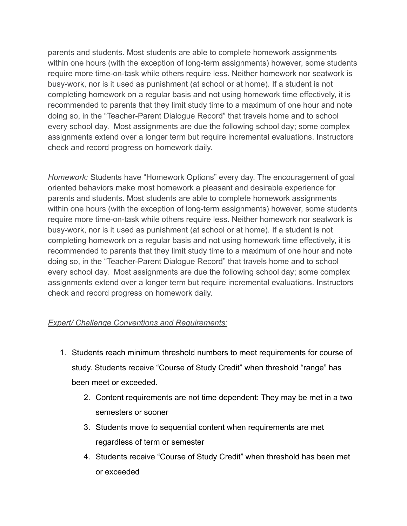parents and students. Most students are able to complete homework assignments within one hours (with the exception of long-term assignments) however, some students require more time-on-task while others require less. Neither homework nor seatwork is busy-work, nor is it used as punishment (at school or at home). If a student is not completing homework on a regular basis and not using homework time effectively, it is recommended to parents that they limit study time to a maximum of one hour and note doing so, in the "Teacher-Parent Dialogue Record" that travels home and to school every school day. Most assignments are due the following school day; some complex assignments extend over a longer term but require incremental evaluations. Instructors check and record progress on homework daily.

*Homework:* Students have "Homework Options" every day. The encouragement of goal oriented behaviors make most homework a pleasant and desirable experience for parents and students. Most students are able to complete homework assignments within one hours (with the exception of long-term assignments) however, some students require more time-on-task while others require less. Neither homework nor seatwork is busy-work, nor is it used as punishment (at school or at home). If a student is not completing homework on a regular basis and not using homework time effectively, it is recommended to parents that they limit study time to a maximum of one hour and note doing so, in the "Teacher-Parent Dialogue Record" that travels home and to school every school day. Most assignments are due the following school day; some complex assignments extend over a longer term but require incremental evaluations. Instructors check and record progress on homework daily.

#### *Expert/ Challenge Conventions and Requirements:*

- 1. Students reach minimum threshold numbers to meet requirements for course of study. Students receive "Course of Study Credit" when threshold "range" has been meet or exceeded.
	- 2. Content requirements are not time dependent: They may be met in a two semesters or sooner
	- 3. Students move to sequential content when requirements are met regardless of term or semester
	- 4. Students receive "Course of Study Credit" when threshold has been met or exceeded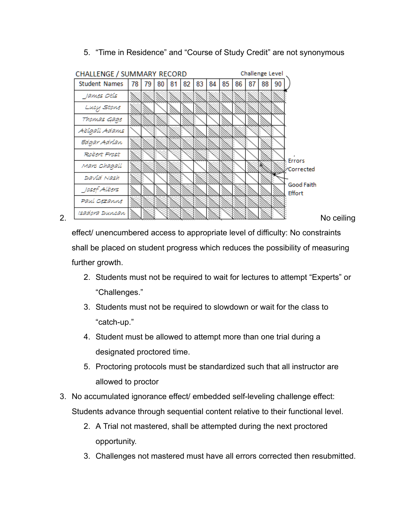5. "Time in Residence" and "Course of Study Credit" are not synonymous



effect/ unencumbered access to appropriate level of difficulty: No constraints shall be placed on student progress which reduces the possibility of measuring further growth.

- 2. Students must not be required to wait for lectures to attempt "Experts" or "Challenges."
- 3. Students must not be required to slowdown or wait for the class to "catch-up."
- 4. Student must be allowed to attempt more than one trial during a designated proctored time.
- 5. Proctoring protocols must be standardized such that all instructor are allowed to proctor
- 3. No accumulated ignorance effect/ embedded self-leveling challenge effect: Students advance through sequential content relative to their functional level.
	- 2. A Trial not mastered, shall be attempted during the next proctored opportunity.
	- 3. Challenges not mastered must have all errors corrected then resubmitted.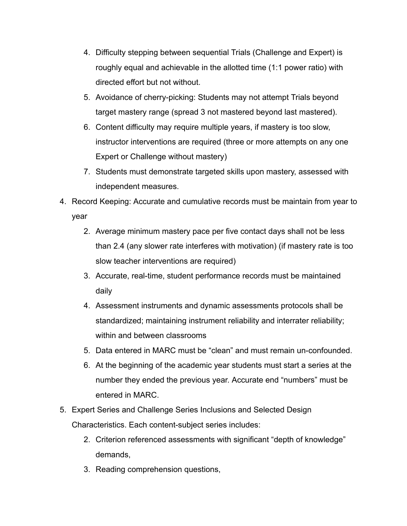- 4. Difficulty stepping between sequential Trials (Challenge and Expert) is roughly equal and achievable in the allotted time (1:1 power ratio) with directed effort but not without.
- 5. Avoidance of cherry-picking: Students may not attempt Trials beyond target mastery range (spread 3 not mastered beyond last mastered).
- 6. Content difficulty may require multiple years, if mastery is too slow, instructor interventions are required (three or more attempts on any one Expert or Challenge without mastery)
- 7. Students must demonstrate targeted skills upon mastery, assessed with independent measures.
- 4. Record Keeping: Accurate and cumulative records must be maintain from year to year
	- 2. Average minimum mastery pace per five contact days shall not be less than 2.4 (any slower rate interferes with motivation) (if mastery rate is too slow teacher interventions are required)
	- 3. Accurate, real-time, student performance records must be maintained daily
	- 4. Assessment instruments and dynamic assessments protocols shall be standardized; maintaining instrument reliability and interrater reliability; within and between classrooms
	- 5. Data entered in MARC must be "clean" and must remain un-confounded.
	- 6. At the beginning of the academic year students must start a series at the number they ended the previous year. Accurate end "numbers" must be entered in MARC.
- 5. Expert Series and Challenge Series Inclusions and Selected Design Characteristics. Each content-subject series includes:
	- 2. Criterion referenced assessments with significant "depth of knowledge" demands,
	- 3. Reading comprehension questions,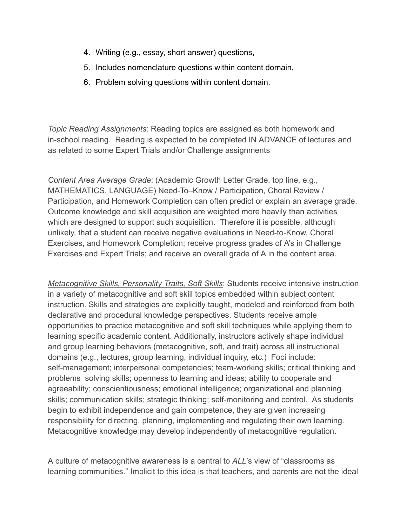- 4. Writing (e.g., essay, short answer) questions,
- 5. Includes nomenclature questions within content domain,
- 6. Problem solving questions within content domain.

*Topic Reading Assignments*: Reading topics are assigned as both homework and in-school reading. Reading is expected to be completed IN ADVANCE of lectures and as related to some Expert Trials and/or Challenge assignments

*Content Area Average Grade*: (Academic Growth Letter Grade, top line, e.g., MATHEMATICS, LANGUAGE) Need-To–Know / Participation, Choral Review / Participation, and Homework Completion can often predict or explain an average grade. Outcome knowledge and skill acquisition are weighted more heavily than activities which are designed to support such acquisition. Therefore it is possible, although unlikely, that a student can receive negative evaluations in Need-to-Know, Choral Exercises, and Homework Completion; receive progress grades of A's in Challenge Exercises and Expert Trials; and receive an overall grade of A in the content area.

*Metacognitive Skills, Personality Traits, Soft Skills*: Students receive intensive instruction in a variety of metacognitive and soft skill topics embedded within subject content instruction. Skills and strategies are explicitly taught, modeled and reinforced from both declarative and procedural knowledge perspectives. Students receive ample opportunities to practice metacognitive and soft skill techniques while applying them to learning specific academic content. Additionally, instructors actively shape individual and group learning behaviors (metacognitive, soft, and trait) across all instructional domains (e.g., lectures, group learning, individual inquiry, etc.) Foci include: self-management; interpersonal competencies; team-working skills; critical thinking and problems solving skills; openness to learning and ideas; ability to cooperate and agreeability; conscientiousness; emotional intelligence; organizational and planning skills; communication skills; strategic thinking; self-monitoring and control. As students begin to exhibit independence and gain competence, they are given increasing responsibility for directing, planning, implementing and regulating their own learning. Metacognitive knowledge may develop independently of metacognitive regulation.

A culture of metacognitive awareness is a central to *ALL*'s view of "classrooms as learning communities." Implicit to this idea is that teachers, and parents are not the ideal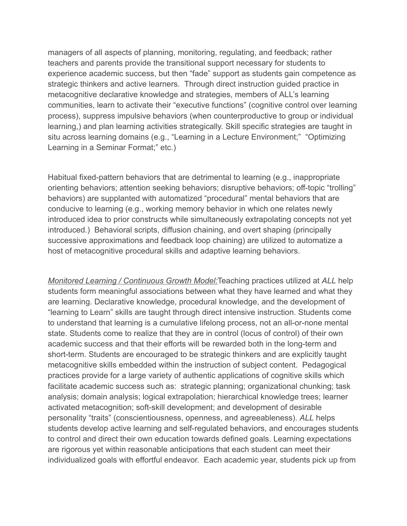managers of all aspects of planning, monitoring, regulating, and feedback; rather teachers and parents provide the transitional support necessary for students to experience academic success, but then "fade" support as students gain competence as strategic thinkers and active learners. Through direct instruction guided practice in metacognitive declarative knowledge and strategies, members of ALL's learning communities, learn to activate their "executive functions" (cognitive control over learning process), suppress impulsive behaviors (when counterproductive to group or individual learning,) and plan learning activities strategically. Skill specific strategies are taught in situ across learning domains (e.g., "Learning in a Lecture Environment;" "Optimizing Learning in a Seminar Format;" etc.)

Habitual fixed-pattern behaviors that are detrimental to learning (e.g., inappropriate orienting behaviors; attention seeking behaviors; disruptive behaviors; off-topic "trolling" behaviors) are supplanted with automatized "procedural" mental behaviors that are conducive to learning (e.g., working memory behavior in which one relates newly introduced idea to prior constructs while simultaneously extrapolating concepts not yet introduced.) Behavioral scripts, diffusion chaining, and overt shaping (principally successive approximations and feedback loop chaining) are utilized to automatize a host of metacognitive procedural skills and adaptive learning behaviors.

*Monitored Learning / Continuous Growth Model:*Teaching practices utilized at *ALL* help students form meaningful associations between what they have learned and what they are learning. Declarative knowledge, procedural knowledge, and the development of "learning to Learn" skills are taught through direct intensive instruction. Students come to understand that learning is a cumulative lifelong process, not an all-or-none mental state. Students come to realize that they are in control (locus of control) of their own academic success and that their efforts will be rewarded both in the long-term and short-term. Students are encouraged to be strategic thinkers and are explicitly taught metacognitive skills embedded within the instruction of subject content. Pedagogical practices provide for a large variety of authentic applications of cognitive skills which facilitate academic success such as: strategic planning; organizational chunking; task analysis; domain analysis; logical extrapolation; hierarchical knowledge trees; learner activated metacognition; soft-skill development; and development of desirable personality "traits" (conscientiousness, openness, and agreeableness). *ALL* helps students develop active learning and self-regulated behaviors, and encourages students to control and direct their own education towards defined goals. Learning expectations are rigorous yet within reasonable anticipations that each student can meet their individualized goals with effortful endeavor. Each academic year, students pick up from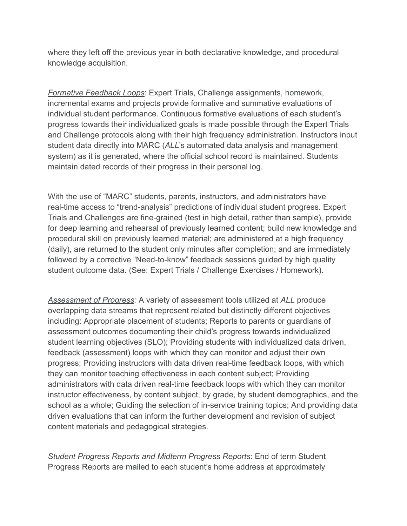where they left off the previous year in both declarative knowledge, and procedural knowledge acquisition.

*Formative Feedback Loops*: Expert Trials, Challenge assignments, homework, incremental exams and projects provide formative and summative evaluations of individual student performance. Continuous formative evaluations of each student's progress towards their individualized goals is made possible through the Expert Trials and Challenge protocols along with their high frequency administration. Instructors input student data directly into MARC (*ALL*'s automated data analysis and management system) as it is generated, where the official school record is maintained. Students maintain dated records of their progress in their personal log.

With the use of "MARC" students, parents, instructors, and administrators have real-time access to "trend-analysis" predictions of individual student progress. Expert Trials and Challenges are fine-grained (test in high detail, rather than sample), provide for deep learning and rehearsal of previously learned content; build new knowledge and procedural skill on previously learned material; are administered at a high frequency (daily), are returned to the student only minutes after completion; and are immediately followed by a corrective "Need-to-know" feedback sessions guided by high quality student outcome data. (See: Expert Trials / Challenge Exercises / Homework).

*Assessment of Progress:* A variety of assessment tools utilized at *ALL* produce overlapping data streams that represent related but distinctly different objectives including: Appropriate placement of students; Reports to parents or guardians of assessment outcomes documenting their child's progress towards individualized student learning objectives (SLO); Providing students with individualized data driven, feedback (assessment) loops with which they can monitor and adjust their own progress; Providing instructors with data driven real-time feedback loops, with which they can monitor teaching effectiveness in each content subject; Providing administrators with data driven real-time feedback loops with which they can monitor instructor effectiveness, by content subject, by grade, by student demographics, and the school as a whole; Guiding the selection of in-service training topics; And providing data driven evaluations that can inform the further development and revision of subject content materials and pedagogical strategies.

*Student Progress Reports and Midterm Progress Reports*: End of term Student Progress Reports are mailed to each student's home address at approximately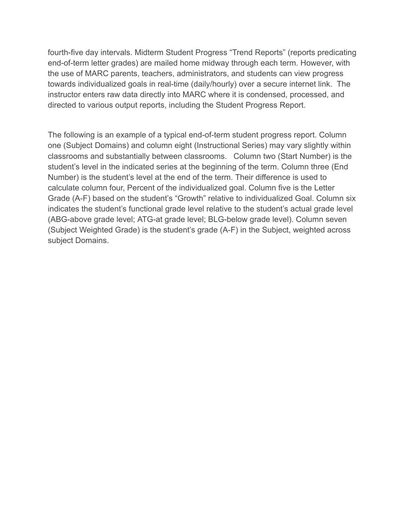fourth-five day intervals. Midterm Student Progress "Trend Reports" (reports predicating end-of-term letter grades) are mailed home midway through each term. However, with the use of MARC parents, teachers, administrators, and students can view progress towards individualized goals in real-time (daily/hourly) over a secure internet link. The instructor enters raw data directly into MARC where it is condensed, processed, and directed to various output reports, including the Student Progress Report.

The following is an example of a typical end-of-term student progress report. Column one (Subject Domains) and column eight (Instructional Series) may vary slightly within classrooms and substantially between classrooms. Column two (Start Number) is the student's level in the indicated series at the beginning of the term. Column three (End Number) is the student's level at the end of the term. Their difference is used to calculate column four, Percent of the individualized goal. Column five is the Letter Grade (A-F) based on the student's "Growth" relative to individualized Goal. Column six indicates the student's functional grade level relative to the student's actual grade level (ABG-above grade level; ATG-at grade level; BLG-below grade level). Column seven (Subject Weighted Grade) is the student's grade (A-F) in the Subject, weighted across subject Domains.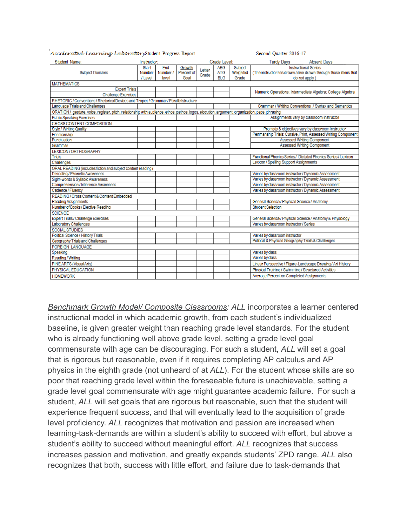| Student Name:<br>Instructor:                                                                                                                   |         |          |            |        | Grade Level: |          | Tardy Days Absent Days                                          |
|------------------------------------------------------------------------------------------------------------------------------------------------|---------|----------|------------|--------|--------------|----------|-----------------------------------------------------------------|
|                                                                                                                                                | Start   | End      | Growth     | Letter | <b>ABG</b>   | Subject  | <b>Instructional Series</b>                                     |
| <b>Subject Domains</b>                                                                                                                         | Number  | Number / | Percent of | Grade  | <b>ATG</b>   | Weighted | (The instructor has drawn a line drawn through those items that |
|                                                                                                                                                | / Level | level    | Goal       |        | <b>BLG</b>   | Grade    | do not apply )                                                  |
| <b>MATHEMATICS</b>                                                                                                                             |         |          |            |        |              |          |                                                                 |
| <b>Expert Trials</b>                                                                                                                           |         |          |            |        |              |          | Numeric Operations; Intermediate Algebra; College Algebra       |
| <b>Challenge Exercises</b>                                                                                                                     |         |          |            |        |              |          |                                                                 |
| RHETORIC / Conventions / Rhetorical Devices and Tropes / Grammar / Parallel structure                                                          |         |          |            |        |              |          |                                                                 |
| Language Trials and Challenges                                                                                                                 |         |          |            |        |              |          | Grammar / Writing Conventions / Syntax and Semantics            |
| ORATION / gesture, voice, register, pitch, relationship with audience, ethos, pathos, logos, elocution, argument, organization, pace, phrasing |         |          |            |        |              |          |                                                                 |
| <b>Public Speaking Exercises</b>                                                                                                               |         |          |            |        |              |          | Assignments vary by classroom instructor                        |
| <b>CROSS CONTENT COMPOSITION</b>                                                                                                               |         |          |            |        |              |          |                                                                 |
| Style / Writing Quality                                                                                                                        |         |          |            |        |              |          | Prompts & objectives vary by classroom instructor               |
| Penmanship                                                                                                                                     |         |          |            |        |              |          | Penmanship Trials: Cursive, Print, Assessed Writing Component   |
| Punctuation                                                                                                                                    |         |          |            |        |              |          | Assessed Writing Component                                      |
| Grammar                                                                                                                                        |         |          |            |        |              |          | <b>Assessed Writing Component</b>                               |
| LEXICON/ORTHOGRAPHY                                                                                                                            |         |          |            |        |              |          |                                                                 |
| Trials                                                                                                                                         |         |          |            |        |              |          | Functional Phonics Series / Dictated Phonics Series / Lexicon   |
| Challenges                                                                                                                                     |         |          |            |        |              |          | Lexicon / Spelling Support Assignments                          |
| ORAL READING (includes fiction and subject content reading)                                                                                    |         |          |            |        |              |          |                                                                 |
| Decoding / Phonetic Awareness                                                                                                                  |         |          |            |        |              |          | Varies by classroom instructor / Dynamic Assessment             |
| Sight-words & Syllabic Awareness                                                                                                               |         |          |            |        |              |          | Varies by classroom instructor / Dynamic Assessment             |
| Comprehension / Inference Awareness                                                                                                            |         |          |            |        |              |          | Varies by classroom instructor / Dynamic Assessment             |
| Cadence / Fluency                                                                                                                              |         |          |            |        |              |          | Varies by classroom instructor / Dynamic Assessment             |
| READING/Cross Content & Content Embedded                                                                                                       |         |          |            |        |              |          |                                                                 |
| Reading Assignments                                                                                                                            |         |          |            |        |              |          | General Science / Physical Science / Anatomy                    |
| Number of Books / Elective Reading                                                                                                             |         |          |            |        |              |          | <b>Student Selection</b>                                        |
| <b>SCIENCE</b>                                                                                                                                 |         |          |            |        |              |          |                                                                 |
| Expert Trials / Challenge Exercises                                                                                                            |         |          |            |        |              |          | General Science / Physical Science / Anatomy & Physiology       |
| Laboratory Challenges                                                                                                                          |         |          |            |        |              |          | Varies by classroom instructor / Series                         |
| <b>SOCIAL STUDIES</b>                                                                                                                          |         |          |            |        |              |          |                                                                 |
| Political Science / History Trials                                                                                                             |         |          |            |        |              |          | Varies by classroom instructor                                  |
| Geography Trials and Challenges                                                                                                                |         |          |            |        |              |          | Political & Physical Geography Trials & Challenges              |
| <b>FOREIGN LANGUAGE</b>                                                                                                                        |         |          |            |        |              |          |                                                                 |
| Speaking                                                                                                                                       |         |          |            |        |              |          | Varies by class                                                 |
| Reading / Writing                                                                                                                              |         |          |            |        |              |          | Varies by class                                                 |
| FINE ARTS (Visual Arts)                                                                                                                        |         |          |            |        |              |          | Linear Perspective / Figure-Landscape Drawing / Art History     |
| PHYSICAL EDUCATION                                                                                                                             |         |          |            |        |              |          | Physical Training / Swimming / Structured Activities            |
| <b>HOMEWORK</b>                                                                                                                                |         |          |            |        |              |          | Average Percent on Completed Assignments                        |
|                                                                                                                                                |         |          |            |        |              |          |                                                                 |

Second Ouarter 2016-17

Accelerated Learning LaboratoryStudent Progress Report

*Benchmark Growth Model/ Composite Classrooms: ALL* incorporates a learner centered instructional model in which academic growth, from each student's individualized baseline, is given greater weight than reaching grade level standards. For the student who is already functioning well above grade level, setting a grade level goal commensurate with age can be discouraging. For such a student, *ALL* will set a goal that is rigorous but reasonable, even if it requires completing AP calculus and AP physics in the eighth grade (not unheard of at *ALL*). For the student whose skills are so poor that reaching grade level within the foreseeable future is unachievable, setting a grade level goal commensurate with age might guarantee academic failure. For such a student, *ALL* will set goals that are rigorous but reasonable, such that the student will experience frequent success, and that will eventually lead to the acquisition of grade level proficiency. *ALL* recognizes that motivation and passion are increased when learning-task-demands are within a student's ability to succeed with effort, but above a student's ability to succeed without meaningful effort. *ALL* recognizes that success increases passion and motivation, and greatly expands students' ZPD range. *ALL* also recognizes that both, success with little effort, and failure due to task-demands that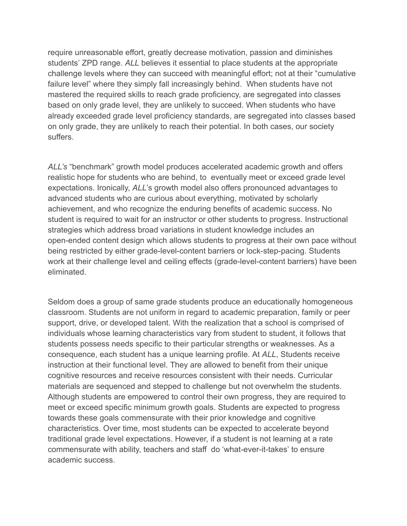require unreasonable effort, greatly decrease motivation, passion and diminishes students' ZPD range. *ALL* believes it essential to place students at the appropriate challenge levels where they can succeed with meaningful effort; not at their "cumulative failure level" where they simply fall increasingly behind. When students have not mastered the required skills to reach grade proficiency, are segregated into classes based on only grade level, they are unlikely to succeed. When students who have already exceeded grade level proficiency standards, are segregated into classes based on only grade, they are unlikely to reach their potential. In both cases, our society suffers.

*ALL's* "benchmark" growth model produces accelerated academic growth and offers realistic hope for students who are behind, to eventually meet or exceed grade level expectations. Ironically, *ALL*'s growth model also offers pronounced advantages to advanced students who are curious about everything, motivated by scholarly achievement, and who recognize the enduring benefits of academic success. No student is required to wait for an instructor or other students to progress. Instructional strategies which address broad variations in student knowledge includes an open-ended content design which allows students to progress at their own pace without being restricted by either grade-level-content barriers or lock-step-pacing. Students work at their challenge level and ceiling effects (grade-level-content barriers) have been eliminated.

Seldom does a group of same grade students produce an educationally homogeneous classroom. Students are not uniform in regard to academic preparation, family or peer support, drive, or developed talent. With the realization that a school is comprised of individuals whose learning characteristics vary from student to student, it follows that students possess needs specific to their particular strengths or weaknesses. As a consequence, each student has a unique learning profile. At *ALL*, Students receive instruction at their functional level. They are allowed to benefit from their unique cognitive resources and receive resources consistent with their needs. Curricular materials are sequenced and stepped to challenge but not overwhelm the students. Although students are empowered to control their own progress, they are required to meet or exceed specific minimum growth goals. Students are expected to progress towards these goals commensurate with their prior knowledge and cognitive characteristics. Over time, most students can be expected to accelerate beyond traditional grade level expectations. However, if a student is not learning at a rate commensurate with ability, teachers and staff do 'what-ever-it-takes' to ensure academic success.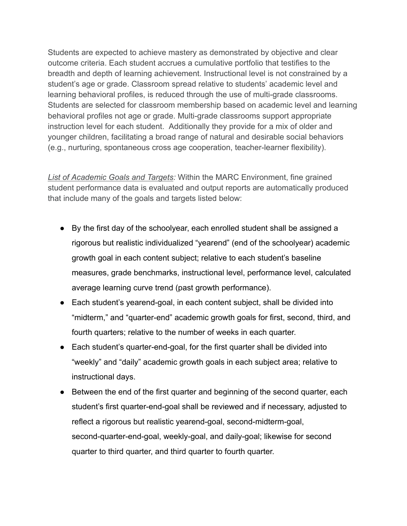Students are expected to achieve mastery as demonstrated by objective and clear outcome criteria. Each student accrues a cumulative portfolio that testifies to the breadth and depth of learning achievement. Instructional level is not constrained by a student's age or grade. Classroom spread relative to students' academic level and learning behavioral profiles, is reduced through the use of multi-grade classrooms. Students are selected for classroom membership based on academic level and learning behavioral profiles not age or grade. Multi-grade classrooms support appropriate instruction level for each student. Additionally they provide for a mix of older and younger children, facilitating a broad range of natural and desirable social behaviors (e.g., nurturing, spontaneous cross age cooperation, teacher-learner flexibility).

*List of Academic Goals and Targets:* Within the MARC Environment, fine grained student performance data is evaluated and output reports are automatically produced that include many of the goals and targets listed below:

- By the first day of the schoolyear, each enrolled student shall be assigned a rigorous but realistic individualized "yearend" (end of the schoolyear) academic growth goal in each content subject; relative to each student's baseline measures, grade benchmarks, instructional level, performance level, calculated average learning curve trend (past growth performance).
- Each student's yearend-goal, in each content subject, shall be divided into "midterm," and "quarter-end" academic growth goals for first, second, third, and fourth quarters; relative to the number of weeks in each quarter.
- Each student's quarter-end-goal, for the first quarter shall be divided into "weekly" and "daily" academic growth goals in each subject area; relative to instructional days.
- Between the end of the first quarter and beginning of the second quarter, each student's first quarter-end-goal shall be reviewed and if necessary, adjusted to reflect a rigorous but realistic yearend-goal, second-midterm-goal, second-quarter-end-goal, weekly-goal, and daily-goal; likewise for second quarter to third quarter, and third quarter to fourth quarter.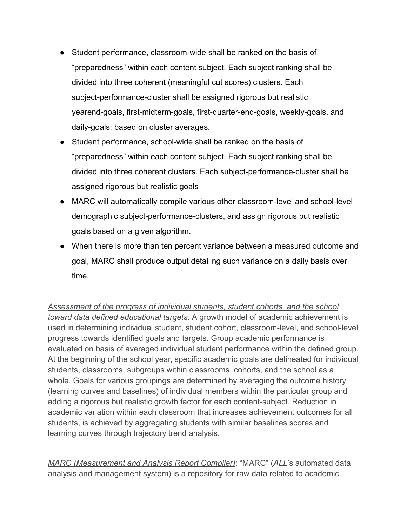- Student performance, classroom-wide shall be ranked on the basis of "preparedness" within each content subject. Each subject ranking shall be divided into three coherent (meaningful cut scores) clusters. Each subject-performance-cluster shall be assigned rigorous but realistic yearend-goals, first-midterm-goals, first-quarter-end-goals, weekly-goals, and daily-goals; based on cluster averages.
- Student performance, school-wide shall be ranked on the basis of "preparedness" within each content subject. Each subject ranking shall be divided into three coherent clusters. Each subject-performance-cluster shall be assigned rigorous but realistic goals
- MARC will automatically compile various other classroom-level and school-level demographic subject-performance-clusters, and assign rigorous but realistic goals based on a given algorithm.
- When there is more than ten percent variance between a measured outcome and goal, MARC shall produce output detailing such variance on a daily basis over time.

*Assessment of the progress of individual students, student cohorts, and the school toward data defined educational targets:* A growth model of academic achievement is used in determining individual student, student cohort, classroom-level, and school-level progress towards identified goals and targets. Group academic performance is evaluated on basis of averaged individual student performance within the defined group. At the beginning of the school year, specific academic goals are delineated for individual students, classrooms, subgroups within classrooms, cohorts, and the school as a whole. Goals for various groupings are determined by averaging the outcome history (learning curves and baselines) of individual members within the particular group and adding a rigorous but realistic growth factor for each content-subject. Reduction in academic variation within each classroom that increases achievement outcomes for all students, is achieved by aggregating students with similar baselines scores and learning curves through trajectory trend analysis.

*MARC (Measurement and Analysis Report Compiler)*: "MARC" (*ALL*'s automated data analysis and management system) is a repository for raw data related to academic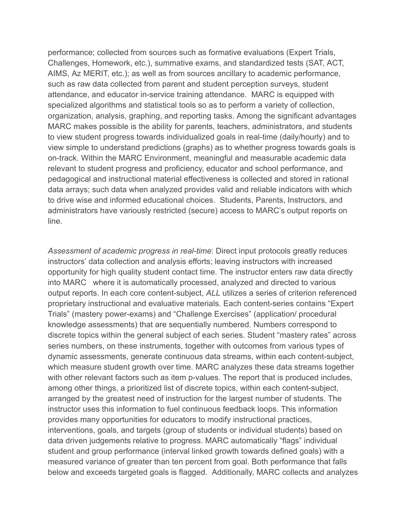performance; collected from sources such as formative evaluations (Expert Trials, Challenges, Homework, etc.), summative exams, and standardized tests (SAT, ACT, AIMS, Az MERIT, etc.); as well as from sources ancillary to academic performance, such as raw data collected from parent and student perception surveys, student attendance, and educator in-service training attendance. MARC is equipped with specialized algorithms and statistical tools so as to perform a variety of collection, organization, analysis, graphing, and reporting tasks. Among the significant advantages MARC makes possible is the ability for parents, teachers, administrators, and students to view student progress towards individualized goals in real-time (daily/hourly) and to view simple to understand predictions (graphs) as to whether progress towards goals is on-track. Within the MARC Environment, meaningful and measurable academic data relevant to student progress and proficiency, educator and school performance, and pedagogical and instructional material effectiveness is collected and stored in rational data arrays; such data when analyzed provides valid and reliable indicators with which to drive wise and informed educational choices. Students, Parents, Instructors, and administrators have variously restricted (secure) access to MARC's output reports on line.

*Assessment of academic progress in real-time*: Direct input protocols greatly reduces instructors' data collection and analysis efforts; leaving instructors with increased opportunity for high quality student contact time. The instructor enters raw data directly into MARC where it is automatically processed, analyzed and directed to various output reports. In each core content-subject, *ALL* utilizes a series of criterion referenced proprietary instructional and evaluative materials. Each content-series contains "Expert Trials" (mastery power-exams) and "Challenge Exercises" (application/ procedural knowledge assessments) that are sequentially numbered. Numbers correspond to discrete topics within the general subject of each series. Student "mastery rates" across series numbers, on these instruments, together with outcomes from various types of dynamic assessments, generate continuous data streams, within each content-subject, which measure student growth over time. MARC analyzes these data streams together with other relevant factors such as item p-values. The report that is produced includes, among other things, a prioritized list of discrete topics, within each content-subject, arranged by the greatest need of instruction for the largest number of students. The instructor uses this information to fuel continuous feedback loops. This information provides many opportunities for educators to modify instructional practices, interventions, goals, and targets (group of students or individual students) based on data driven judgements relative to progress. MARC automatically "flags" individual student and group performance (interval linked growth towards defined goals) with a measured variance of greater than ten percent from goal. Both performance that falls below and exceeds targeted goals is flagged. Additionally, MARC collects and analyzes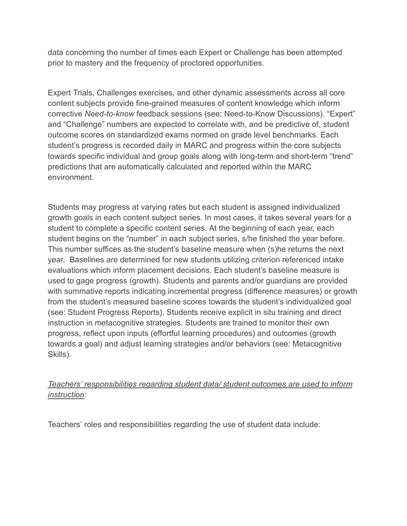data concerning the number of times each Expert or Challenge has been attempted prior to mastery and the frequency of proctored opportunities.

Expert Trials, Challenges exercises, and other dynamic assessments across all core content subjects provide fine-grained measures of content knowledge which inform corrective *Need-to-know* feedback sessions (see: Need-to-Know Discussions). "Expert" and "Challenge" numbers are expected to correlate with, and be predictive of, student outcome scores on standardized exams normed on grade level benchmarks. Each student's progress is recorded daily in MARC and progress within the core subjects towards specific individual and group goals along with long-term and short-term "trend" predictions that are automatically calculated and reported within the MARC environment.

Students may progress at varying rates but each student is assigned individualized growth goals in each content subject series. In most cases, it takes several years for a student to complete a specific content series. At the beginning of each year, each student begins on the "number" in each subject series, s/he finished the year before. This number suffices as the student's baseline measure when (s)he returns the next year. Baselines are determined for new students utilizing criterion referenced intake evaluations which inform placement decisions. Each student's baseline measure is used to gage progress (growth). Students and parents and/or guardians are provided with summative reports indicating incremental progress (difference measures) or growth from the student's measured baseline scores towards the student's individualized goal (see: Student Progress Reports). Students receive explicit in situ training and direct instruction in metacognitive strategies. Students are trained to monitor their own progress, reflect upon inputs (effortful learning procedures) and outcomes (growth towards a goal) and adjust learning strategies and/or behaviors (see: Metacognitive Skills).

### *Teachers' responsibilities regarding student data/ student outcomes are used to inform instruction:*

Teachers' roles and responsibilities regarding the use of student data include: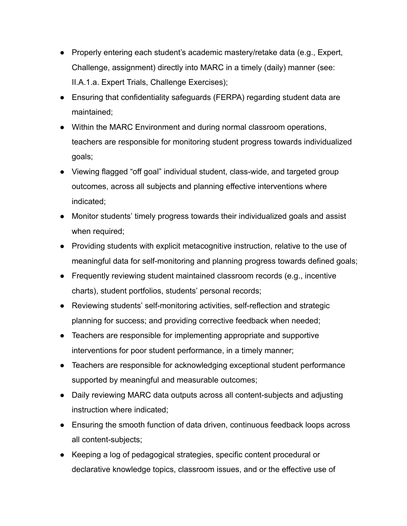- Properly entering each student's academic mastery/retake data (e.g., Expert, Challenge, assignment) directly into MARC in a timely (daily) manner (see: II.A.1.a. Expert Trials, Challenge Exercises);
- Ensuring that confidentiality safeguards (FERPA) regarding student data are maintained;
- Within the MARC Environment and during normal classroom operations, teachers are responsible for monitoring student progress towards individualized goals;
- Viewing flagged "off goal" individual student, class-wide, and targeted group outcomes, across all subjects and planning effective interventions where indicated;
- Monitor students' timely progress towards their individualized goals and assist when required;
- Providing students with explicit metacognitive instruction, relative to the use of meaningful data for self-monitoring and planning progress towards defined goals;
- Frequently reviewing student maintained classroom records (e.g., incentive charts), student portfolios, students' personal records;
- Reviewing students' self-monitoring activities, self-reflection and strategic planning for success; and providing corrective feedback when needed;
- Teachers are responsible for implementing appropriate and supportive interventions for poor student performance, in a timely manner;
- Teachers are responsible for acknowledging exceptional student performance supported by meaningful and measurable outcomes;
- Daily reviewing MARC data outputs across all content-subjects and adjusting instruction where indicated;
- Ensuring the smooth function of data driven, continuous feedback loops across all content-subjects;
- Keeping a log of pedagogical strategies, specific content procedural or declarative knowledge topics, classroom issues, and or the effective use of